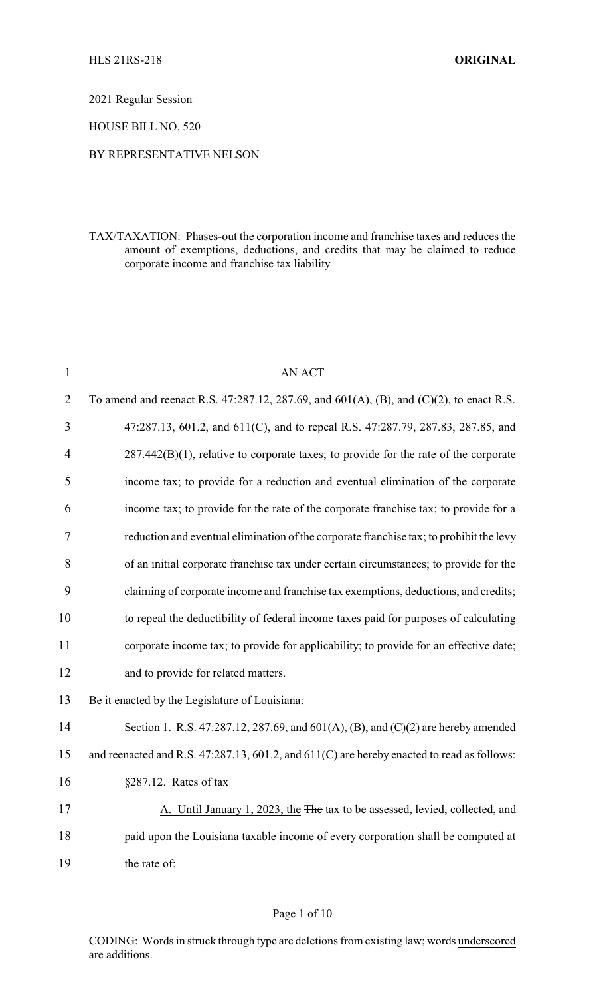2021 Regular Session

HOUSE BILL NO. 520

### BY REPRESENTATIVE NELSON

TAX/TAXATION: Phases-out the corporation income and franchise taxes and reduces the amount of exemptions, deductions, and credits that may be claimed to reduce corporate income and franchise tax liability

| $\mathbf{1}$   | <b>AN ACT</b>                                                                              |
|----------------|--------------------------------------------------------------------------------------------|
| 2              | To amend and reenact R.S. 47:287.12, 287.69, and 601(A), (B), and (C)(2), to enact R.S.    |
| 3              | 47:287.13, 601.2, and 611(C), and to repeal R.S. 47:287.79, 287.83, 287.85, and            |
| $\overline{4}$ | $287.442(B)(1)$ , relative to corporate taxes; to provide for the rate of the corporate    |
| 5              | income tax; to provide for a reduction and eventual elimination of the corporate           |
| 6              | income tax; to provide for the rate of the corporate franchise tax; to provide for a       |
| 7              | reduction and eventual elimination of the corporate franchise tax; to prohibit the levy    |
| 8              | of an initial corporate franchise tax under certain circumstances; to provide for the      |
| 9              | claiming of corporate income and franchise tax exemptions, deductions, and credits;        |
| 10             | to repeal the deductibility of federal income taxes paid for purposes of calculating       |
| 11             | corporate income tax; to provide for applicability; to provide for an effective date;      |
| 12             | and to provide for related matters.                                                        |
| 13             | Be it enacted by the Legislature of Louisiana:                                             |
| 14             | Section 1. R.S. 47:287.12, 287.69, and $601(A)$ , (B), and (C)(2) are hereby amended       |
| 15             | and reenacted and R.S. 47:287.13, 601.2, and 611(C) are hereby enacted to read as follows: |
| 16             | $§287.12.$ Rates of tax                                                                    |
| 17             | A. Until January 1, 2023, the The tax to be assessed, levied, collected, and               |
| 18             | paid upon the Louisiana taxable income of every corporation shall be computed at           |
| 19             | the rate of:                                                                               |

CODING: Words in struck through type are deletions from existing law; words underscored are additions.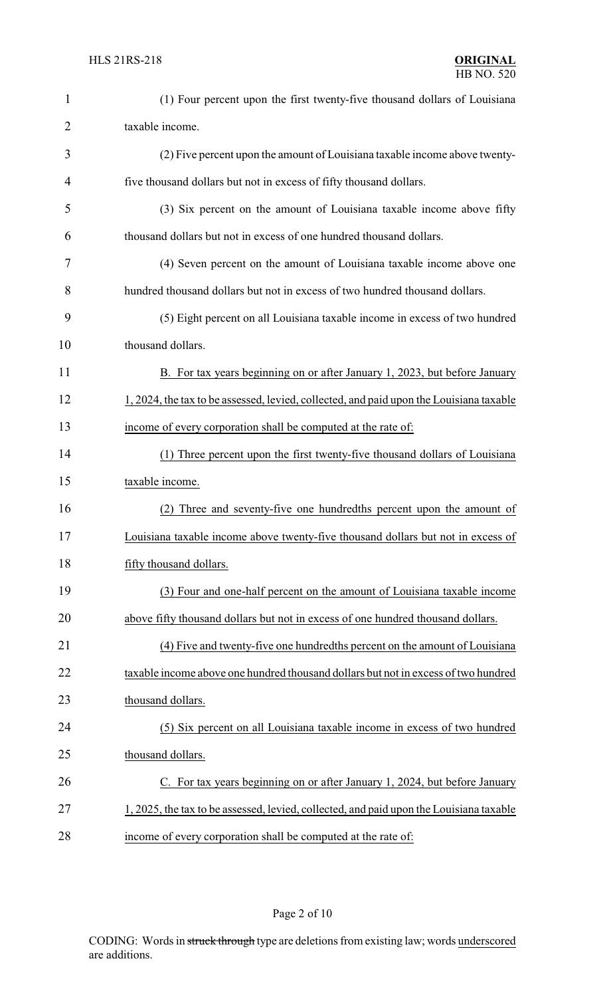| $\mathbf{1}$   | (1) Four percent upon the first twenty-five thousand dollars of Louisiana               |
|----------------|-----------------------------------------------------------------------------------------|
| $\overline{2}$ | taxable income.                                                                         |
| 3              | (2) Five percent upon the amount of Louisiana taxable income above twenty-              |
| 4              | five thousand dollars but not in excess of fifty thousand dollars.                      |
| 5              | (3) Six percent on the amount of Louisiana taxable income above fifty                   |
| 6              | thousand dollars but not in excess of one hundred thousand dollars.                     |
| 7              | (4) Seven percent on the amount of Louisiana taxable income above one                   |
| 8              | hundred thousand dollars but not in excess of two hundred thousand dollars.             |
| 9              | (5) Eight percent on all Louisiana taxable income in excess of two hundred              |
| 10             | thousand dollars.                                                                       |
| 11             | B. For tax years beginning on or after January 1, 2023, but before January              |
| 12             | 1, 2024, the tax to be assessed, levied, collected, and paid upon the Louisiana taxable |
| 13             | income of every corporation shall be computed at the rate of:                           |
| 14             | (1) Three percent upon the first twenty-five thousand dollars of Louisiana              |
| 15             | taxable income.                                                                         |
| 16             | Three and seventy-five one hundredths percent upon the amount of<br>(2)                 |
| 17             | Louisiana taxable income above twenty-five thousand dollars but not in excess of        |
| 18             | fifty thousand dollars.                                                                 |
| 19             | (3) Four and one-half percent on the amount of Louisiana taxable income                 |
| 20             | above fifty thousand dollars but not in excess of one hundred thousand dollars.         |
| 21             | (4) Five and twenty-five one hundredths percent on the amount of Louisiana              |
| 22             | taxable income above one hundred thousand dollars but not in excess of two hundred      |
| 23             | thousand dollars.                                                                       |
| 24             | (5) Six percent on all Louisiana taxable income in excess of two hundred                |
| 25             | thousand dollars.                                                                       |
| 26             | C. For tax years beginning on or after January 1, 2024, but before January              |
| 27             | 1, 2025, the tax to be assessed, levied, collected, and paid upon the Louisiana taxable |
| 28             | income of every corporation shall be computed at the rate of:                           |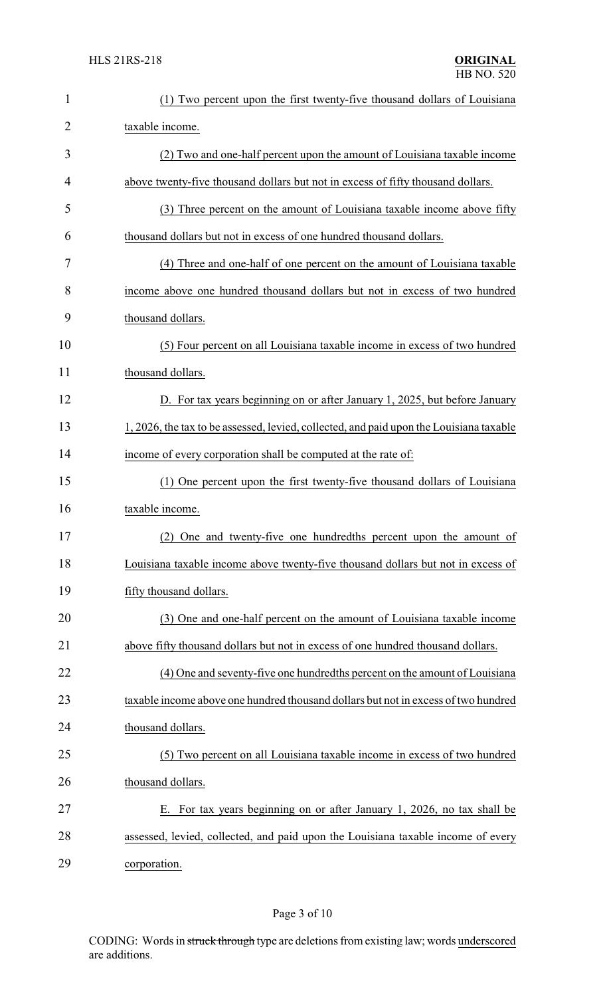| $\mathbf{1}$   | (1) Two percent upon the first twenty-five thousand dollars of Louisiana                |
|----------------|-----------------------------------------------------------------------------------------|
| $\overline{2}$ | taxable income.                                                                         |
| 3              | (2) Two and one-half percent upon the amount of Louisiana taxable income                |
| 4              | above twenty-five thousand dollars but not in excess of fifty thousand dollars.         |
| 5              | (3) Three percent on the amount of Louisiana taxable income above fifty                 |
| 6              | thousand dollars but not in excess of one hundred thousand dollars.                     |
| 7              | (4) Three and one-half of one percent on the amount of Louisiana taxable                |
| 8              | income above one hundred thousand dollars but not in excess of two hundred              |
| 9              | thousand dollars.                                                                       |
| 10             | (5) Four percent on all Louisiana taxable income in excess of two hundred               |
| 11             | thousand dollars.                                                                       |
| 12             | D. For tax years beginning on or after January 1, 2025, but before January              |
| 13             | 1, 2026, the tax to be assessed, levied, collected, and paid upon the Louisiana taxable |
| 14             | income of every corporation shall be computed at the rate of:                           |
| 15             | (1) One percent upon the first twenty-five thousand dollars of Louisiana                |
| 16             | taxable income.                                                                         |
| 17             | (2) One and twenty-five one hundredths percent upon the amount of                       |
| 18             | Louisiana taxable income above twenty-five thousand dollars but not in excess of        |
| 19             | fifty thousand dollars.                                                                 |
| 20             | (3) One and one-half percent on the amount of Louisiana taxable income                  |
| 21             | above fifty thousand dollars but not in excess of one hundred thousand dollars.         |
| 22             | (4) One and seventy-five one hundredths percent on the amount of Louisiana              |
| 23             | taxable income above one hundred thousand dollars but not in excess of two hundred      |
| 24             | thousand dollars.                                                                       |
| 25             | (5) Two percent on all Louisiana taxable income in excess of two hundred                |
| 26             | thousand dollars.                                                                       |
| 27             | E. For tax years beginning on or after January 1, 2026, no tax shall be                 |
| 28             | assessed, levied, collected, and paid upon the Louisiana taxable income of every        |
| 29             | corporation.                                                                            |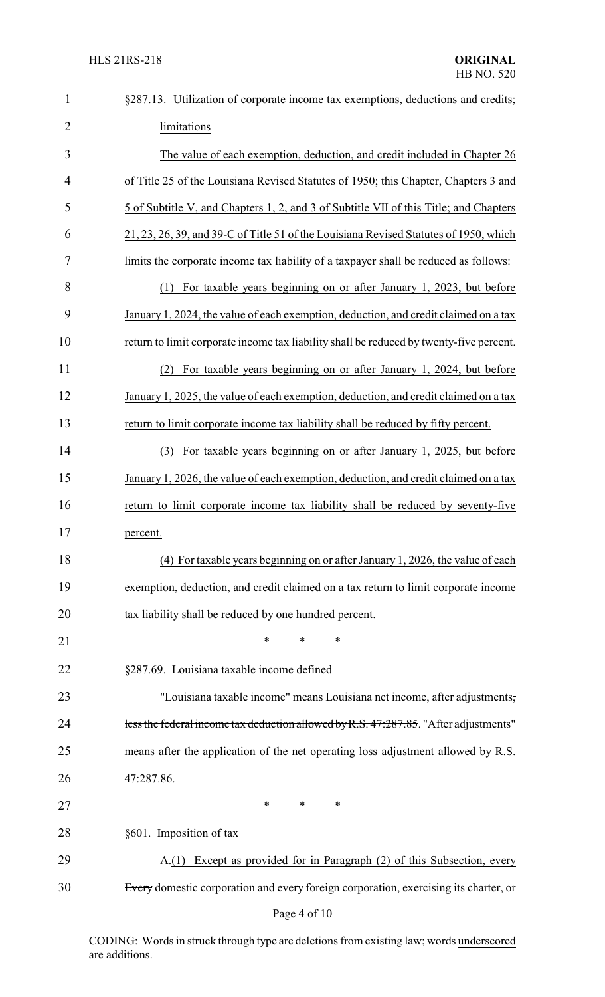| $\mathbf{1}$   | §287.13. Utilization of corporate income tax exemptions, deductions and credits;        |
|----------------|-----------------------------------------------------------------------------------------|
| $\overline{2}$ | limitations                                                                             |
| 3              | The value of each exemption, deduction, and credit included in Chapter 26               |
| 4              | of Title 25 of the Louisiana Revised Statutes of 1950; this Chapter, Chapters 3 and     |
| 5              | 5 of Subtitle V, and Chapters 1, 2, and 3 of Subtitle VII of this Title; and Chapters   |
| 6              | 21, 23, 26, 39, and 39-C of Title 51 of the Louisiana Revised Statutes of 1950, which   |
| 7              | limits the corporate income tax liability of a taxpayer shall be reduced as follows:    |
| 8              | For taxable years beginning on or after January 1, 2023, but before<br>(1)              |
| 9              | January 1, 2024, the value of each exemption, deduction, and credit claimed on a tax    |
| 10             | return to limit corporate income tax liability shall be reduced by twenty-five percent. |
| 11             | For taxable years beginning on or after January 1, 2024, but before<br>(2)              |
| 12             | January 1, 2025, the value of each exemption, deduction, and credit claimed on a tax    |
| 13             | return to limit corporate income tax liability shall be reduced by fifty percent.       |
| 14             | For taxable years beginning on or after January 1, 2025, but before<br>(3)              |
| 15             | January 1, 2026, the value of each exemption, deduction, and credit claimed on a tax    |
| 16             | return to limit corporate income tax liability shall be reduced by seventy-five         |
| 17             | percent.                                                                                |
| 18             | (4) For taxable years beginning on or after January 1, 2026, the value of each          |
| 19             | exemption, deduction, and credit claimed on a tax return to limit corporate income      |
| 20             | tax liability shall be reduced by one hundred percent.                                  |
| 21             | *<br>*<br>∗                                                                             |
| 22             | §287.69. Louisiana taxable income defined                                               |
| 23             | "Louisiana taxable income" means Louisiana net income, after adjustments,               |
| 24             | less the federal income tax deduction allowed by R.S. 47:287.85. "After adjustments"    |
| 25             | means after the application of the net operating loss adjustment allowed by R.S.        |
| 26             | 47:287.86.                                                                              |
| 27             | ∗<br>$\ast$<br>$\ast$                                                                   |
| 28             | §601. Imposition of tax                                                                 |
| 29             | A.(1) Except as provided for in Paragraph (2) of this Subsection, every                 |
| 30             | Every domestic corporation and every foreign corporation, exercising its charter, or    |
|                |                                                                                         |

# Page 4 of 10

CODING: Words in struck through type are deletions from existing law; words underscored are additions.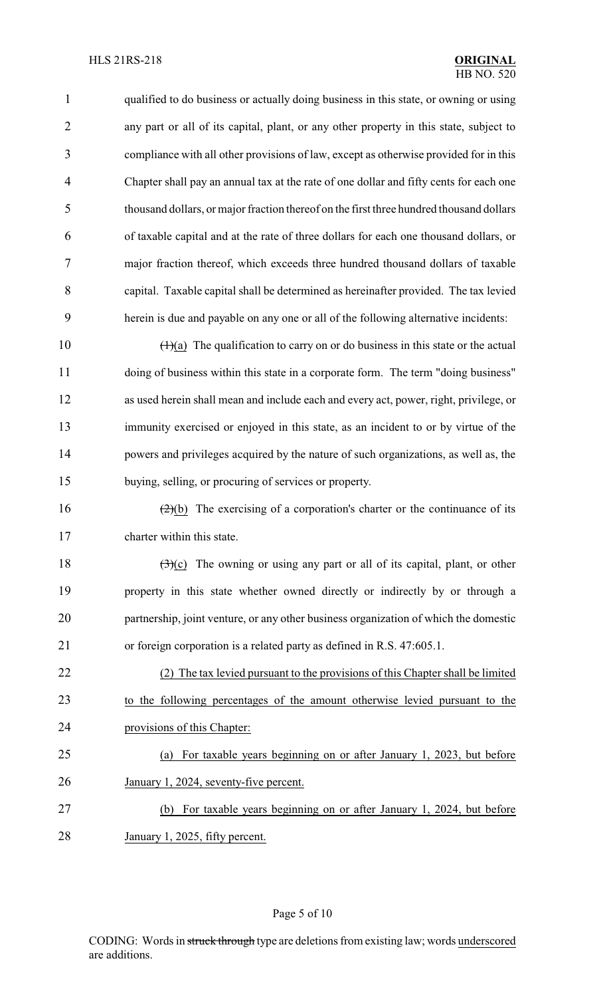qualified to do business or actually doing business in this state, or owning or using any part or all of its capital, plant, or any other property in this state, subject to compliance with all other provisions of law, except as otherwise provided for in this Chapter shall pay an annual tax at the rate of one dollar and fifty cents for each one thousand dollars, or major fraction thereof on the first three hundred thousand dollars of taxable capital and at the rate of three dollars for each one thousand dollars, or major fraction thereof, which exceeds three hundred thousand dollars of taxable capital. Taxable capital shall be determined as hereinafter provided. The tax levied herein is due and payable on any one or all of the following alternative incidents:

 $(1)(a)$  The qualification to carry on or do business in this state or the actual doing of business within this state in a corporate form. The term "doing business" as used herein shall mean and include each and every act, power, right, privilege, or immunity exercised or enjoyed in this state, as an incident to or by virtue of the powers and privileges acquired by the nature of such organizations, as well as, the buying, selling, or procuring of services or property.

16  $(2)(b)$  The exercising of a corporation's charter or the continuance of its charter within this state.

 $(3)(c)$  The owning or using any part or all of its capital, plant, or other property in this state whether owned directly or indirectly by or through a partnership, joint venture, or any other business organization of which the domestic or foreign corporation is a related party as defined in R.S. 47:605.1.

 (2) The tax levied pursuant to the provisions of this Chapter shall be limited to the following percentages of the amount otherwise levied pursuant to the provisions of this Chapter:

 (a) For taxable years beginning on or after January 1, 2023, but before 26 January 1, 2024, seventy-five percent.

- (b) For taxable years beginning on or after January 1, 2024, but before
- January 1, 2025, fifty percent.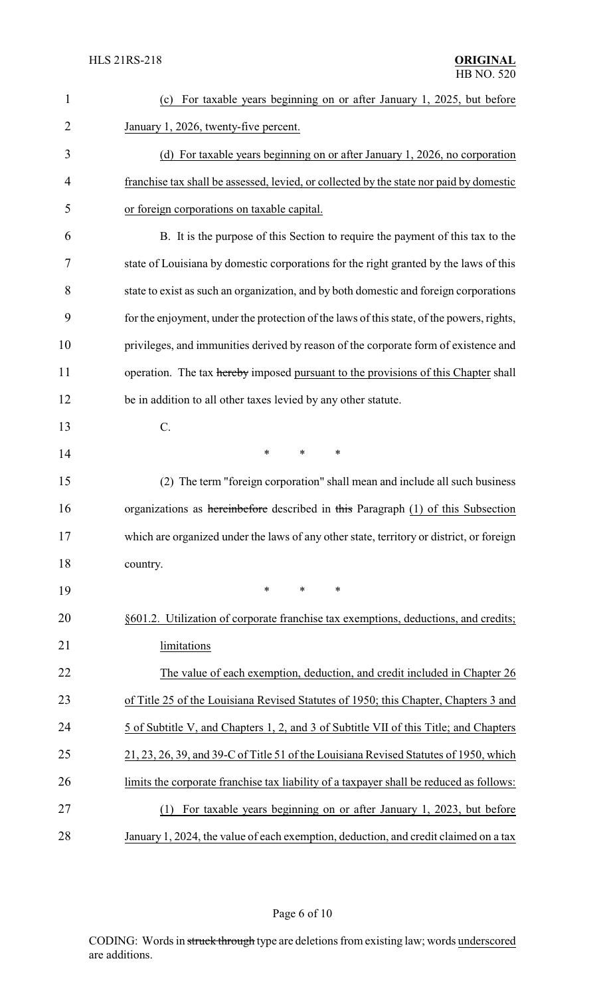| $\mathbf{1}$   | (c) For taxable years beginning on or after January 1, 2025, but before                   |
|----------------|-------------------------------------------------------------------------------------------|
| $\overline{2}$ | January 1, 2026, twenty-five percent.                                                     |
| 3              | (d) For taxable years beginning on or after January 1, 2026, no corporation               |
| $\overline{4}$ | franchise tax shall be assessed, levied, or collected by the state nor paid by domestic   |
| 5              | or foreign corporations on taxable capital.                                               |
| 6              | B. It is the purpose of this Section to require the payment of this tax to the            |
| 7              | state of Louisiana by domestic corporations for the right granted by the laws of this     |
| 8              | state to exist as such an organization, and by both domestic and foreign corporations     |
| 9              | for the enjoyment, under the protection of the laws of this state, of the powers, rights, |
| 10             | privileges, and immunities derived by reason of the corporate form of existence and       |
| 11             | operation. The tax hereby imposed pursuant to the provisions of this Chapter shall        |
| 12             | be in addition to all other taxes levied by any other statute.                            |
| 13             | $\mathcal{C}$ .                                                                           |
| 14             | $\ast$<br>$\ast$<br>*                                                                     |
| 15             | (2) The term "foreign corporation" shall mean and include all such business               |
| 16             | organizations as hereinbefore described in this Paragraph (1) of this Subsection          |
| 17             | which are organized under the laws of any other state, territory or district, or foreign  |
| 18             | country.                                                                                  |
| 19             | $\ast$<br>$\ast$<br>*                                                                     |
| 20             | §601.2. Utilization of corporate franchise tax exemptions, deductions, and credits;       |
| 21             | limitations                                                                               |
| 22             | The value of each exemption, deduction, and credit included in Chapter 26                 |
| 23             | of Title 25 of the Louisiana Revised Statutes of 1950; this Chapter, Chapters 3 and       |
| 24             | 5 of Subtitle V, and Chapters 1, 2, and 3 of Subtitle VII of this Title; and Chapters     |
| 25             | 21, 23, 26, 39, and 39-C of Title 51 of the Louisiana Revised Statutes of 1950, which     |
| 26             | limits the corporate franchise tax liability of a taxpayer shall be reduced as follows:   |
| 27             | For taxable years beginning on or after January 1, 2023, but before<br>(1)                |
| 28             | January 1, 2024, the value of each exemption, deduction, and credit claimed on a tax      |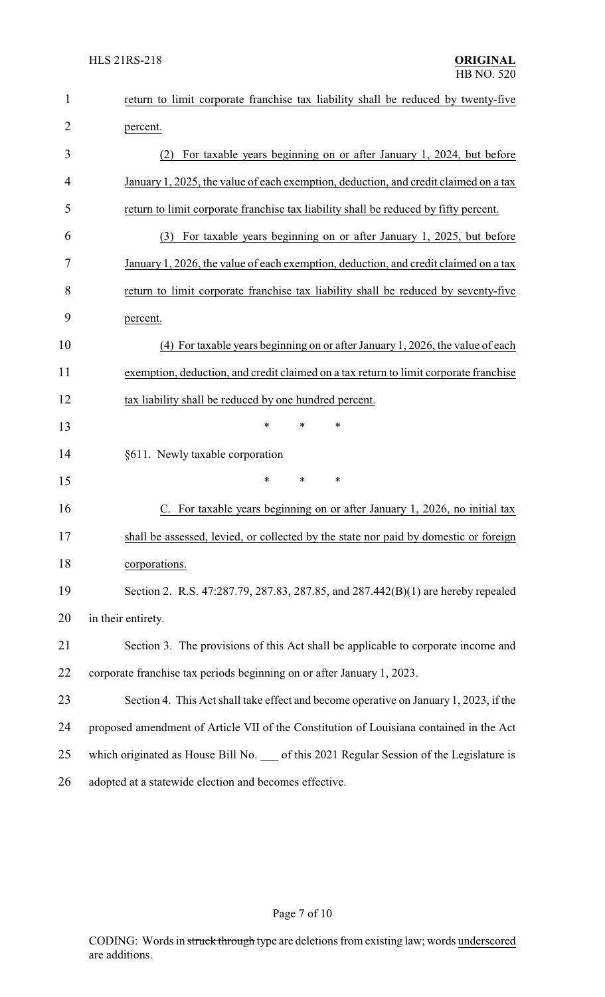| $\mathbf{1}$   | return to limit corporate franchise tax liability shall be reduced by twenty-five       |
|----------------|-----------------------------------------------------------------------------------------|
| $\overline{2}$ | percent.                                                                                |
| 3              | For taxable years beginning on or after January 1, 2024, but before<br>(2)              |
| 4              | January 1, 2025, the value of each exemption, deduction, and credit claimed on a tax    |
| 5              | return to limit corporate franchise tax liability shall be reduced by fifty percent.    |
| 6              | For taxable years beginning on or after January 1, 2025, but before<br>(3)              |
| 7              | January 1, 2026, the value of each exemption, deduction, and credit claimed on a tax    |
| 8              | return to limit corporate franchise tax liability shall be reduced by seventy-five      |
| 9              | percent.                                                                                |
| 10             | (4) For taxable years beginning on or after January 1, 2026, the value of each          |
| 11             | exemption, deduction, and credit claimed on a tax return to limit corporate franchise   |
| 12             | tax liability shall be reduced by one hundred percent.                                  |
| 13             | *<br>*<br>*                                                                             |
| 14             | §611. Newly taxable corporation                                                         |
| 15             | *<br>$\ast$<br>∗                                                                        |
| 16             | C. For taxable years beginning on or after January 1, 2026, no initial tax              |
| 17             | shall be assessed, levied, or collected by the state nor paid by domestic or foreign    |
| 18             | corporations.                                                                           |
| 19             | Section 2. R.S. 47:287.79, 287.83, 287.85, and 287.442(B)(1) are hereby repealed        |
| 20             | in their entirety.                                                                      |
| 21             | Section 3. The provisions of this Act shall be applicable to corporate income and       |
| 22             | corporate franchise tax periods beginning on or after January 1, 2023.                  |
| 23             | Section 4. This Act shall take effect and become operative on January 1, 2023, if the   |
| 24             | proposed amendment of Article VII of the Constitution of Louisiana contained in the Act |
| 25             | which originated as House Bill No. of this 2021 Regular Session of the Legislature is   |
| 26             | adopted at a statewide election and becomes effective.                                  |

# Page 7 of 10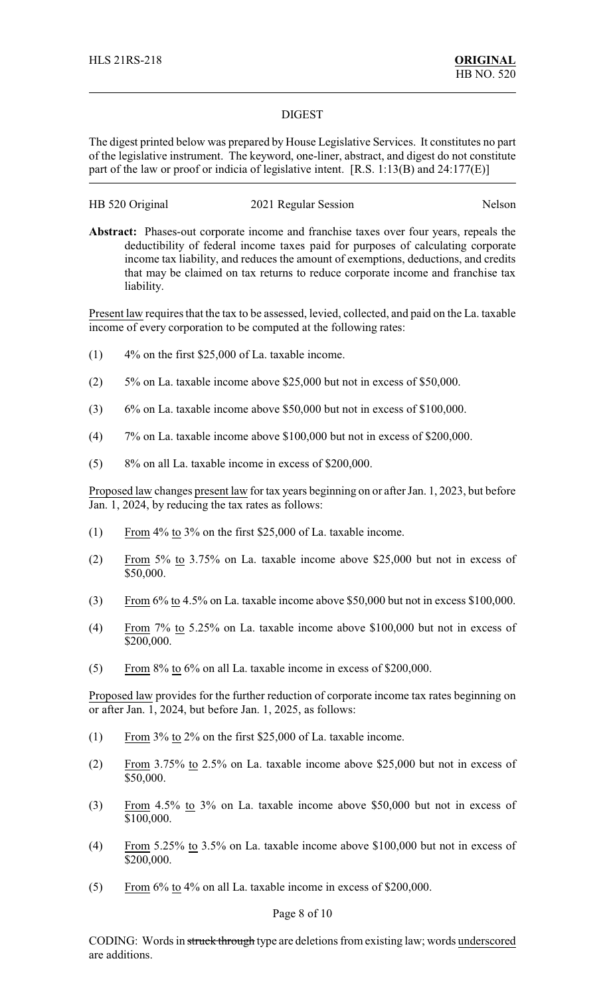#### DIGEST

The digest printed below was prepared by House Legislative Services. It constitutes no part of the legislative instrument. The keyword, one-liner, abstract, and digest do not constitute part of the law or proof or indicia of legislative intent. [R.S. 1:13(B) and 24:177(E)]

### HB 520 Original 2021 Regular Session Nelson

**Abstract:** Phases-out corporate income and franchise taxes over four years, repeals the deductibility of federal income taxes paid for purposes of calculating corporate income tax liability, and reduces the amount of exemptions, deductions, and credits that may be claimed on tax returns to reduce corporate income and franchise tax liability.

Present law requires that the tax to be assessed, levied, collected, and paid on the La. taxable income of every corporation to be computed at the following rates:

- (1) 4% on the first \$25,000 of La. taxable income.
- (2) 5% on La. taxable income above \$25,000 but not in excess of \$50,000.
- (3) 6% on La. taxable income above \$50,000 but not in excess of \$100,000.
- (4) 7% on La. taxable income above \$100,000 but not in excess of \$200,000.
- (5) 8% on all La. taxable income in excess of \$200,000.

Proposed law changes present law for tax years beginning on or after Jan. 1, 2023, but before Jan. 1, 2024, by reducing the tax rates as follows:

- (1) From 4% to 3% on the first \$25,000 of La. taxable income.
- (2) From 5% to 3.75% on La. taxable income above \$25,000 but not in excess of \$50,000.
- (3) From 6% to 4.5% on La. taxable income above \$50,000 but not in excess \$100,000.
- (4) From 7% to 5.25% on La. taxable income above \$100,000 but not in excess of \$200,000.
- (5) From 8% to 6% on all La. taxable income in excess of \$200,000.

Proposed law provides for the further reduction of corporate income tax rates beginning on or after Jan. 1, 2024, but before Jan. 1, 2025, as follows:

- (1) From 3% to 2% on the first \$25,000 of La. taxable income.
- (2) From 3.75% to 2.5% on La. taxable income above \$25,000 but not in excess of \$50,000.
- (3) From 4.5% to 3% on La. taxable income above \$50,000 but not in excess of \$100,000.
- (4) From 5.25% to 3.5% on La. taxable income above  $$100,000$  but not in excess of \$200,000.
- (5) From 6% to 4% on all La. taxable income in excess of \$200,000.

#### Page 8 of 10

CODING: Words in struck through type are deletions from existing law; words underscored are additions.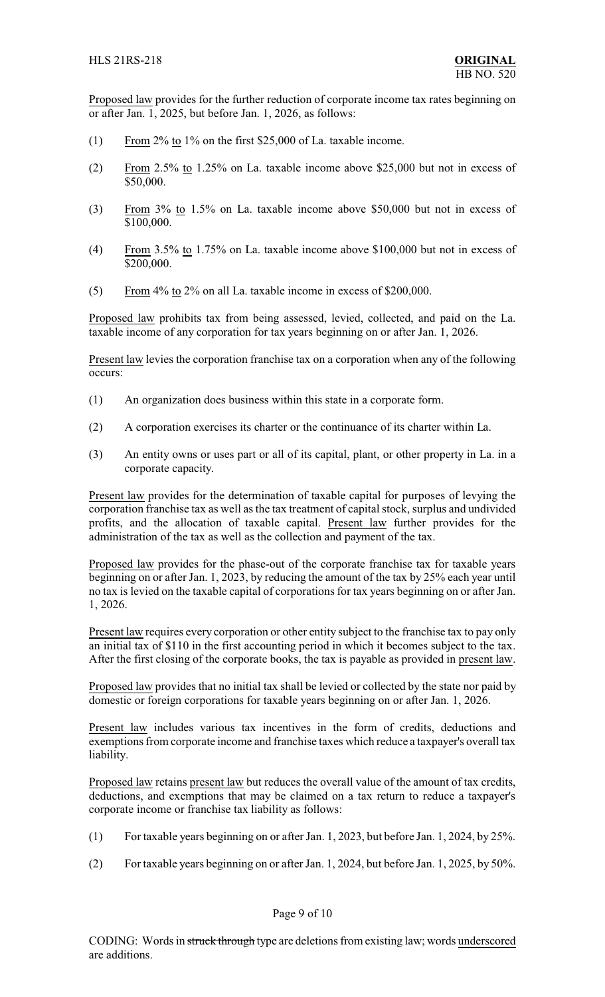Proposed law provides for the further reduction of corporate income tax rates beginning on or after Jan. 1, 2025, but before Jan. 1, 2026, as follows:

- (1) From 2% to 1% on the first \$25,000 of La. taxable income.
- (2) From 2.5% to 1.25% on La. taxable income above \$25,000 but not in excess of \$50,000.
- (3) From 3% to 1.5% on La. taxable income above \$50,000 but not in excess of \$100,000.
- (4) From 3.5% to 1.75% on La. taxable income above \$100,000 but not in excess of \$200,000.
- (5) From 4% to 2% on all La. taxable income in excess of \$200,000.

Proposed law prohibits tax from being assessed, levied, collected, and paid on the La. taxable income of any corporation for tax years beginning on or after Jan. 1, 2026.

Present law levies the corporation franchise tax on a corporation when any of the following occurs:

- (1) An organization does business within this state in a corporate form.
- (2) A corporation exercises its charter or the continuance of its charter within La.
- (3) An entity owns or uses part or all of its capital, plant, or other property in La. in a corporate capacity.

Present law provides for the determination of taxable capital for purposes of levying the corporation franchise tax as well as the tax treatment of capital stock, surplus and undivided profits, and the allocation of taxable capital. Present law further provides for the administration of the tax as well as the collection and payment of the tax.

Proposed law provides for the phase-out of the corporate franchise tax for taxable years beginning on or after Jan. 1, 2023, by reducing the amount of the tax by 25% each year until no tax is levied on the taxable capital of corporations for tax years beginning on or after Jan. 1, 2026.

Present law requires every corporation or other entity subject to the franchise tax to pay only an initial tax of \$110 in the first accounting period in which it becomes subject to the tax. After the first closing of the corporate books, the tax is payable as provided in present law.

Proposed law provides that no initial tax shall be levied or collected by the state nor paid by domestic or foreign corporations for taxable years beginning on or after Jan. 1, 2026.

Present law includes various tax incentives in the form of credits, deductions and exemptions from corporate income and franchise taxes which reduce a taxpayer's overall tax liability.

Proposed law retains present law but reduces the overall value of the amount of tax credits, deductions, and exemptions that may be claimed on a tax return to reduce a taxpayer's corporate income or franchise tax liability as follows:

- (1) For taxable years beginning on or after Jan. 1, 2023, but before Jan. 1, 2024, by 25%.
- (2) For taxable years beginning on or after Jan. 1, 2024, but before Jan. 1, 2025, by 50%.